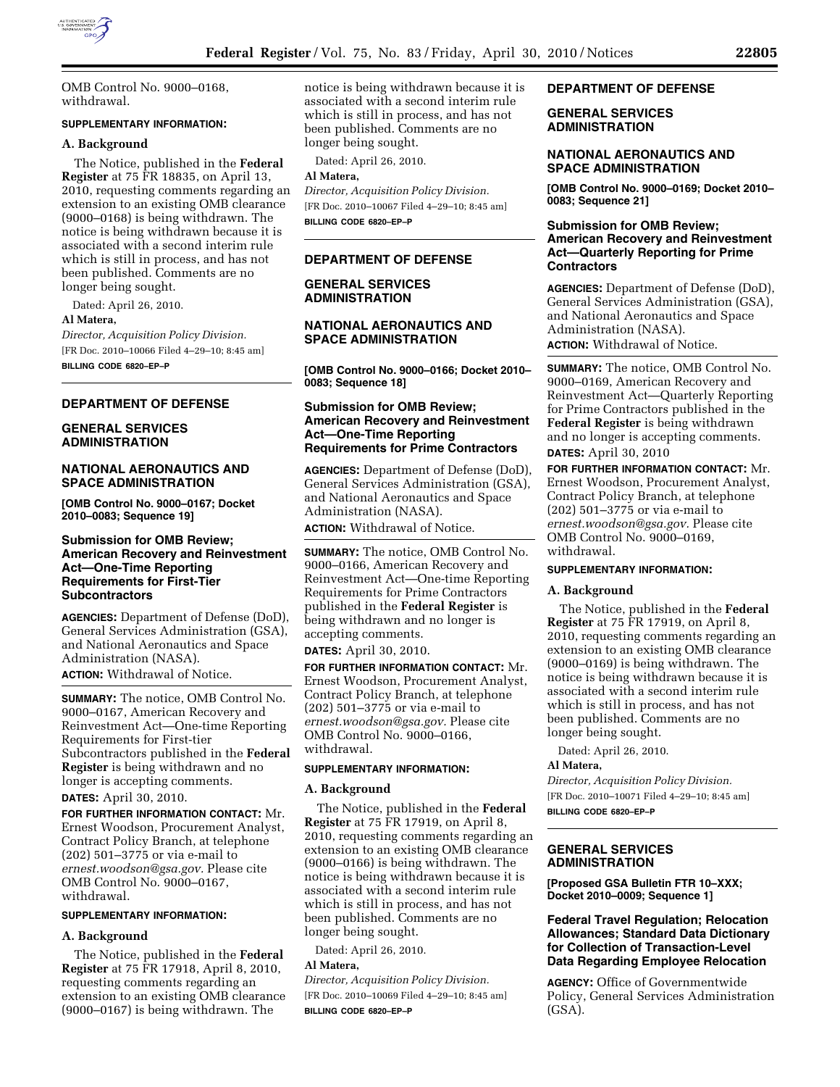

OMB Control No. 9000–0168, withdrawal.

## **SUPPLEMENTARY INFORMATION:**

# **A. Background**

The Notice, published in the **Federal Register** at 75 FR 18835, on April 13, 2010, requesting comments regarding an extension to an existing OMB clearance (9000–0168) is being withdrawn. The notice is being withdrawn because it is associated with a second interim rule which is still in process, and has not been published. Comments are no longer being sought.

Dated: April 26, 2010.

#### **Al Matera,**

*Director, Acquisition Policy Division.*  [FR Doc. 2010–10066 Filed 4–29–10; 8:45 am] **BILLING CODE 6820–EP–P** 

# **DEPARTMENT OF DEFENSE**

# **GENERAL SERVICES ADMINISTRATION**

# **NATIONAL AERONAUTICS AND SPACE ADMINISTRATION**

**[OMB Control No. 9000–0167; Docket 2010–0083; Sequence 19]** 

# **Submission for OMB Review; American Recovery and Reinvestment Act—One-Time Reporting Requirements for First-Tier Subcontractors**

**AGENCIES:** Department of Defense (DoD), General Services Administration (GSA), and National Aeronautics and Space Administration (NASA).

**ACTION:** Withdrawal of Notice.

**SUMMARY:** The notice, OMB Control No. 9000–0167, American Recovery and Reinvestment Act—One-time Reporting Requirements for First-tier Subcontractors published in the **Federal Register** is being withdrawn and no longer is accepting comments.

**DATES:** April 30, 2010.

**FOR FURTHER INFORMATION CONTACT:** Mr. Ernest Woodson, Procurement Analyst, Contract Policy Branch, at telephone (202) 501–3775 or via e-mail to *ernest.woodson@gsa.gov.* Please cite OMB Control No. 9000–0167, withdrawal.

# **SUPPLEMENTARY INFORMATION:**

# **A. Background**

The Notice, published in the **Federal Register** at 75 FR 17918, April 8, 2010, requesting comments regarding an extension to an existing OMB clearance (9000–0167) is being withdrawn. The

notice is being withdrawn because it is associated with a second interim rule which is still in process, and has not been published. Comments are no longer being sought.

Dated: April 26, 2010.

# **Al Matera,**  *Director, Acquisition Policy Division.*

[FR Doc. 2010–10067 Filed 4–29–10; 8:45 am] **BILLING CODE 6820–EP–P** 

# **DEPARTMENT OF DEFENSE**

# **GENERAL SERVICES ADMINISTRATION**

# **NATIONAL AERONAUTICS AND SPACE ADMINISTRATION**

**[OMB Control No. 9000–0166; Docket 2010– 0083; Sequence 18]** 

# **Submission for OMB Review; American Recovery and Reinvestment Act—One-Time Reporting Requirements for Prime Contractors**

**AGENCIES:** Department of Defense (DoD), General Services Administration (GSA), and National Aeronautics and Space Administration (NASA). **ACTION:** Withdrawal of Notice.

**SUMMARY:** The notice, OMB Control No. 9000–0166, American Recovery and Reinvestment Act—One-time Reporting Requirements for Prime Contractors published in the **Federal Register** is being withdrawn and no longer is accepting comments.

**DATES:** April 30, 2010.

**FOR FURTHER INFORMATION CONTACT:** Mr. Ernest Woodson, Procurement Analyst, Contract Policy Branch, at telephone (202) 501–3775 or via e-mail to *ernest.woodson@gsa.gov.* Please cite OMB Control No. 9000–0166, withdrawal.

## **SUPPLEMENTARY INFORMATION:**

#### **A. Background**

The Notice, published in the **Federal Register** at 75 FR 17919, on April 8, 2010, requesting comments regarding an extension to an existing OMB clearance (9000–0166) is being withdrawn. The notice is being withdrawn because it is associated with a second interim rule which is still in process, and has not been published. Comments are no longer being sought.

Dated: April 26, 2010.

# **Al Matera,**

*Director, Acquisition Policy Division.*  [FR Doc. 2010–10069 Filed 4–29–10; 8:45 am] **BILLING CODE 6820–EP–P** 

#### **DEPARTMENT OF DEFENSE**

# **GENERAL SERVICES ADMINISTRATION**

#### **NATIONAL AERONAUTICS AND SPACE ADMINISTRATION**

**[OMB Control No. 9000–0169; Docket 2010– 0083; Sequence 21]** 

# **Submission for OMB Review; American Recovery and Reinvestment Act—Quarterly Reporting for Prime Contractors**

**AGENCIES:** Department of Defense (DoD), General Services Administration (GSA), and National Aeronautics and Space Administration (NASA). **ACTION:** Withdrawal of Notice.

**SUMMARY:** The notice, OMB Control No. 9000–0169, American Recovery and Reinvestment Act—Quarterly Reporting for Prime Contractors published in the **Federal Register** is being withdrawn and no longer is accepting comments. **DATES:** April 30, 2010

**FOR FURTHER INFORMATION CONTACT:** Mr. Ernest Woodson, Procurement Analyst, Contract Policy Branch, at telephone (202) 501–3775 or via e-mail to *ernest.woodson@gsa.gov.* Please cite OMB Control No. 9000–0169, withdrawal.

#### **SUPPLEMENTARY INFORMATION:**

#### **A. Background**

The Notice, published in the **Federal Register** at 75 FR 17919, on April 8, 2010, requesting comments regarding an extension to an existing OMB clearance (9000–0169) is being withdrawn. The notice is being withdrawn because it is associated with a second interim rule which is still in process, and has not been published. Comments are no longer being sought.

Dated: April 26, 2010.

#### **Al Matera,**

*Director, Acquisition Policy Division.*  [FR Doc. 2010–10071 Filed 4–29–10; 8:45 am] **BILLING CODE 6820–EP–P** 

# **GENERAL SERVICES ADMINISTRATION**

**[Proposed GSA Bulletin FTR 10–XXX; Docket 2010–0009; Sequence 1]** 

# **Federal Travel Regulation; Relocation Allowances; Standard Data Dictionary for Collection of Transaction-Level Data Regarding Employee Relocation**

**AGENCY:** Office of Governmentwide Policy, General Services Administration (GSA).